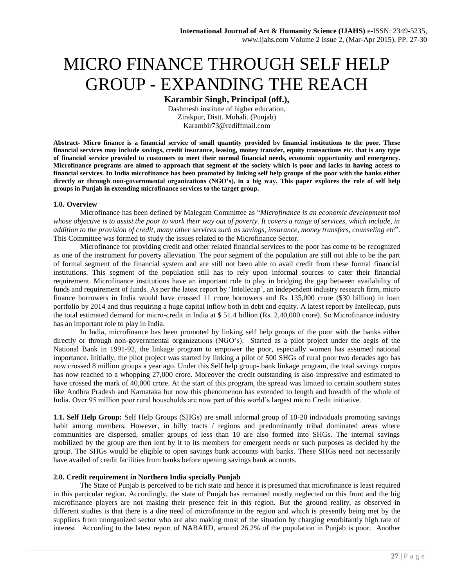# MICRO FINANCE THROUGH SELF HELP GROUP - EXPANDING THE REACH

**Karambir Singh, Principal (off.),** 

Dashmesh institute of higher education, Zirakpur, Distt. Mohali. (Punjab) Karambir73@rediffmail.com

**Abstract- Micro finance is a financial service of small quantity provided by financial institutions to the poor. These financial services may include savings, credit insurance, leasing, money transfer, equity transactions etc. that is any type of financial service provided to customers to meet their normal financial needs, economic opportunity and emergency. Microfinance programs are aimed to approach that segment of the society which is poor and lacks in having access to financial services. In India microfinance has been promoted by linking self help groups of the poor with the banks either directly or through non-governmental organizations (NGO's), in a big way. This paper explores the role of self help groups in Punjab in extending microfinance services to the target group.** 

## **1.0. Overview**

Microfinance has been defined by Malegam Committee as "*Microfinance is an economic development tool whose objective is to assist the poor to work their way out of poverty. It covers a range of services, which include, in addition to the provision of credit, many other services such as savings, insurance, money transfers, counseling etc*". This Committee was formed to study the issues related to the Microfinance Sector.

Microfinance for providing credit and other related financial services to the poor has come to be recognized as one of the instrument for poverty alleviation. The poor segment of the population are still not able to be the part of formal segment of the financial system and are still not been able to avail credit from these formal financial institutions. This segment of the population still has to rely upon informal sources to cater their financial requirement. Microfinance institutions have an important role to play in bridging the gap between availability of funds and requirement of funds. As per the latest report by 'Intellecap', an independent industry research firm, micro finance borrowers in India would have crossed 11 crore borrowers and Rs 135,000 crore (\$30 billion) in loan portfolio by 2014 and thus requiring a huge capital inflow both in debt and equity. A latest report by Intellecap, puts the total estimated demand for micro-credit in India at \$ 51.4 billion (Rs. 2,40,000 crore). So Microfinance industry has an important role to play in India.

In India, microfinance has been promoted by linking self help groups of the poor with the banks either directly or through non-governmental organizations (NGO's). Started as a pilot project under the aegis of the National Bank in 1991-92, the linkage program to empower the poor, especially women has assumed national importance. Initially, the pilot project was started by linking a pilot of 500 SHGs of rural poor two decades ago has now crossed 8 million groups a year ago. Under this Self help group- bank linkage program, the total savings corpus has now reached to a whopping 27,000 crore. Moreover the credit outstanding is also impressive and estimated to have crossed the mark of 40,000 crore. At the start of this program, the spread was limited to certain southern states like Andhra Pradesh and Karnataka but now this phenomenon has extended to length and breadth of the whole of India. Over 95 million poor rural households are now part of this world's largest micro Credit initiative.

**1.1. Self Help Group:** Self Help Groups (SHGs) are small informal group of 10-20 individuals promoting savings habit among members. However, in hilly tracts / regions and predominantly tribal dominated areas where communities are dispersed, smaller groups of less than 10 are also formed into SHGs. The internal savings mobilized by the group are then lent by it to its members for emergent needs or such purposes as decided by the group. The SHGs would be eligible to open savings bank accounts with banks. These SHGs need not necessarily have availed of credit facilities from banks before opening savings bank accounts.

# **2.0. Credit requirement in Northern India specially Punjab**

The State of Punjab is perceived to be rich state and hence it is presumed that microfinance is least required in this particular region. Accordingly, the state of Punjab has remained mostly neglected on this front and the big microfinance players are not making their presence felt in this region. But the ground reality, as observed in different studies is that there is a dire need of microfinance in the region and which is presently being met by the suppliers from unorganized sector who are also making most of the situation by charging exorbitantly high rate of interest. According to the latest report of NABARD, around 26.2% of the population in Punjab is poor. Another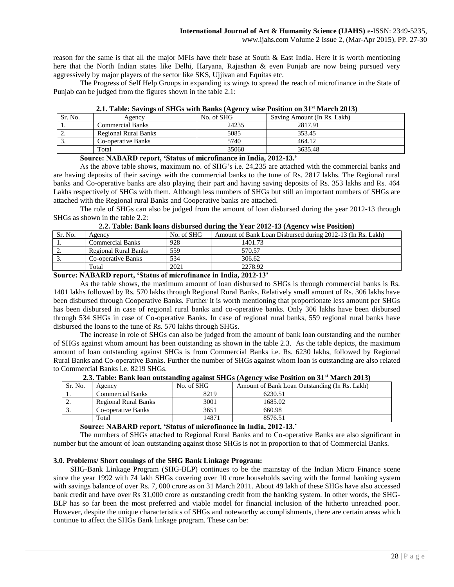www.ijahs.com Volume 2 Issue 2, (Mar-Apr 2015), PP. 27-30

reason for the same is that all the major MFIs have their base at South & East India. Here it is worth mentioning here that the North Indian states like Delhi, Haryana, Rajasthan & even Punjab are now being pursued very aggressively by major players of the sector like SKS, Ujjivan and Equitas etc.

The Progress of Self Help Groups in expanding its wings to spread the reach of microfinance in the State of Punjab can be judged from the figures shown in the table 2.1:

| <b>Extra function</b> of the state of the build $\{H_{\rm g}^{\rm c}(\rm R_{\rm g})\}$ which online to much follow |                         |            |                             |  |  |  |  |  |
|--------------------------------------------------------------------------------------------------------------------|-------------------------|------------|-----------------------------|--|--|--|--|--|
| Sr. No.                                                                                                            | Agency                  | No. of SHG | Saving Amount (In Rs. Lakh) |  |  |  |  |  |
|                                                                                                                    | <b>Commercial Banks</b> | 24235      | 2817.91                     |  |  |  |  |  |
|                                                                                                                    | Regional Rural Banks    | 5085       | 353.45                      |  |  |  |  |  |
|                                                                                                                    | Co-operative Banks      | 5740       | 464.12                      |  |  |  |  |  |
|                                                                                                                    | Total                   | 35060      | 3635.48                     |  |  |  |  |  |

**2.1. Table: Savings of SHGs with Banks (Agency wise Position on 31st March 2013)**

**Source: NABARD report, 'Status of microfinance in India, 2012-13.'**

As the above table shows, maximum no. of SHG's i.e. 24,235 are attached with the commercial banks and are having deposits of their savings with the commercial banks to the tune of Rs. 2817 lakhs. The Regional rural banks and Co-operative banks are also playing their part and having saving deposits of Rs. 353 lakhs and Rs. 464 Lakhs respectively of SHGs with them. Although less numbers of SHGs but still an important numbers of SHGs are attached with the Regional rural Banks and Cooperative banks are attached.

The role of SHGs can also be judged from the amount of loan disbursed during the year 2012-13 through SHGs as shown in the table 2.2:

|  |  | 2.2. Table: Bank loans disbursed during the Year 2012-13 (Agency wise Position) |  |  |  |  |  |
|--|--|---------------------------------------------------------------------------------|--|--|--|--|--|
|  |  |                                                                                 |  |  |  |  |  |

| Sr. No.  | Agency               | No. of SHG | Amount of Bank Loan Disbursed during 2012-13 (In Rs. Lakh) |
|----------|----------------------|------------|------------------------------------------------------------|
|          | Commercial Banks     | 928        | 1401.73                                                    |
| <u>.</u> | Regional Rural Banks | 559        | 570.57                                                     |
| <u>.</u> | Co-operative Banks   | 534        | 306.62                                                     |
|          | Total                | 2021       | 2278.92                                                    |

#### **Source: NABARD report, 'Status of microfinance in India, 2012-13'**

As the table shows, the maximum amount of loan disbursed to SHGs is through commercial banks is Rs. 1401 lakhs followed by Rs. 570 lakhs through Regional Rural Banks. Relatively small amount of Rs. 306 lakhs have been disbursed through Cooperative Banks. Further it is worth mentioning that proportionate less amount per SHGs has been disbursed in case of regional rural banks and co-operative banks. Only 306 lakhs have been disbursed through 534 SHGs in case of Co-operative Banks. In case of regional rural banks, 559 regional rural banks have disbursed the loans to the tune of Rs. 570 lakhs through SHGs.

The increase in role of SHGs can also be judged from the amount of bank loan outstanding and the number of SHGs against whom amount has been outstanding as shown in the table 2.3. As the table depicts, the maximum amount of loan outstanding against SHGs is from Commercial Banks i.e. Rs. 6230 lakhs, followed by Regional Rural Banks and Co-operative Banks. Further the number of SHGs against whom loan is outstanding are also related to Commercial Banks i.e. 8219 SHGs.

| 2.0. Table, Dank foan outstanding against SHOS (Agency wise I osition on 31 - March 2010) |                         |            |                                               |  |  |  |  |
|-------------------------------------------------------------------------------------------|-------------------------|------------|-----------------------------------------------|--|--|--|--|
| Sr. No.                                                                                   | Agency                  | No. of SHG | Amount of Bank Loan Outstanding (In Rs. Lakh) |  |  |  |  |
| . .                                                                                       | <b>Commercial Banks</b> | 8219       | 6230.51                                       |  |  |  |  |
| <u>.</u>                                                                                  | Regional Rural Banks    | 3001       | 1685.02                                       |  |  |  |  |
|                                                                                           | Co-operative Banks      | 3651       | 660.98                                        |  |  |  |  |
|                                                                                           | Total                   | 14871      | 8576.51                                       |  |  |  |  |

**2.3. Table: Bank loan outstanding against SHGs (Agency wise Position on 31st March 2013)**

**Source: NABARD report, 'Status of microfinance in India, 2012-13.'**

The numbers of SHGs attached to Regional Rural Banks and to Co-operative Banks are also significant in number but the amount of loan outstanding against those SHGs is not in proportion to that of Commercial Banks.

# **3.0. Problems/ Short comings of the SHG Bank Linkage Program:**

 SHG-Bank Linkage Program (SHG-BLP) continues to be the mainstay of the Indian Micro Finance scene since the year 1992 with 74 lakh SHGs covering over 10 crore households saving with the formal banking system with savings balance of over Rs. 7, 000 crore as on 31 March 2011. About 49 lakh of these SHGs have also accessed bank credit and have over Rs 31,000 crore as outstanding credit from the banking system. In other words, the SHG-BLP has so far been the most preferred and viable model for financial inclusion of the hitherto unreached poor. However, despite the unique characteristics of SHGs and noteworthy accomplishments, there are certain areas which continue to affect the SHGs Bank linkage program. These can be: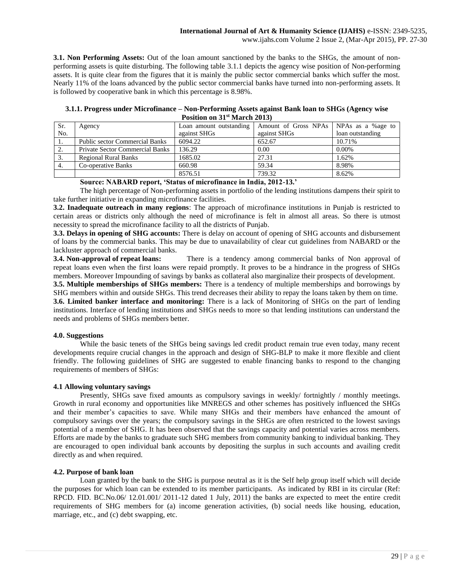**3.1. Non Performing Assets:** Out of the loan amount sanctioned by the banks to the SHGs, the amount of nonperforming assets is quite disturbing. The following table 3.1.1 depicts the agency wise position of Non-performing assets. It is quite clear from the figures that it is mainly the public sector commercial banks which suffer the most. Nearly 11% of the loans advanced by the public sector commercial banks have turned into non-performing assets. It is followed by cooperative bank in which this percentage is 8.98%.

| 3.1.1. Progress under Microfinance – Non-Performing Assets against Bank loan to SHGs (Agency wise |
|---------------------------------------------------------------------------------------------------|
| Position on 31 <sup>st</sup> March 2013)                                                          |

| $1$ obttron on $\sigma$ 1 what ch $\sigma$ is $\sigma$ |                                        |                         |                                          |                  |  |  |  |  |
|--------------------------------------------------------|----------------------------------------|-------------------------|------------------------------------------|------------------|--|--|--|--|
| Sr.                                                    | Agency                                 | Loan amount outstanding | Amount of Gross NPAs   NPAs as a %age to |                  |  |  |  |  |
| No.                                                    |                                        | against SHGs            | against SHGs                             | loan outstanding |  |  |  |  |
| $\overline{1}$ .                                       | <b>Public sector Commercial Banks</b>  | 6094.22                 | 652.67                                   | 10.71%           |  |  |  |  |
| 2.                                                     | <b>Private Sector Commercial Banks</b> | 136.29                  | 0.00                                     | $0.00\%$         |  |  |  |  |
| 3.                                                     | <b>Regional Rural Banks</b>            | 1685.02                 | 27.31                                    | 1.62%            |  |  |  |  |
| 4.                                                     | Co-operative Banks                     | 660.98                  | 59.34                                    | 8.98%            |  |  |  |  |
|                                                        |                                        | 8576.51                 | 739.32                                   | 8.62%            |  |  |  |  |

### **Source: NABARD report, 'Status of microfinance in India, 2012-13.'**

The high percentage of Non-performing assets in portfolio of the lending institutions dampens their spirit to take further initiative in expanding microfinance facilities.

**3.2. Inadequate outreach in many regions**: The approach of microfinance institutions in Punjab is restricted to certain areas or districts only although the need of microfinance is felt in almost all areas. So there is utmost necessity to spread the microfinance facility to all the districts of Punjab.

**3.3. Delays in opening of SHG accounts:** There is delay on account of opening of SHG accounts and disbursement of loans by the commercial banks. This may be due to unavailability of clear cut guidelines from NABARD or the lackluster approach of commercial banks.

**3.4. Non-approval of repeat loans:** There is a tendency among commercial banks of Non approval of repeat loans even when the first loans were repaid promptly. It proves to be a hindrance in the progress of SHGs members. Moreover Impounding of savings by banks as collateral also marginalize their prospects of development.

**3.5. Multiple memberships of SHGs members:** There is a tendency of multiple memberships and borrowings by SHG members within and outside SHGs. This trend decreases their ability to repay the loans taken by them on time.

**3.6. Limited banker interface and monitoring:** There is a lack of Monitoring of SHGs on the part of lending institutions. Interface of lending institutions and SHGs needs to more so that lending institutions can understand the needs and problems of SHGs members better.

# **4.0. Suggestions**

While the basic tenets of the SHGs being savings led credit product remain true even today, many recent developments require crucial changes in the approach and design of SHG-BLP to make it more flexible and client friendly. The following guidelines of SHG are suggested to enable financing banks to respond to the changing requirements of members of SHGs:

#### **4.1 Allowing voluntary savings**

Presently, SHGs save fixed amounts as compulsory savings in weekly/ fortnightly / monthly meetings. Growth in rural economy and opportunities like MNREGS and other schemes has positively influenced the SHGs and their member's capacities to save. While many SHGs and their members have enhanced the amount of compulsory savings over the years; the compulsory savings in the SHGs are often restricted to the lowest savings potential of a member of SHG. It has been observed that the savings capacity and potential varies across members. Efforts are made by the banks to graduate such SHG members from community banking to individual banking. They are encouraged to open individual bank accounts by depositing the surplus in such accounts and availing credit directly as and when required.

## **4.2. Purpose of bank loan**

Loan granted by the bank to the SHG is purpose neutral as it is the Self help group itself which will decide the purposes for which loan can be extended to its member participants. As indicated by RBI in its circular (Ref: RPCD. FID. BC.No.06/ 12.01.001/ 2011-12 dated 1 July, 2011) the banks are expected to meet the entire credit requirements of SHG members for (a) income generation activities, (b) social needs like housing, education, marriage, etc., and (c) debt swapping, etc.